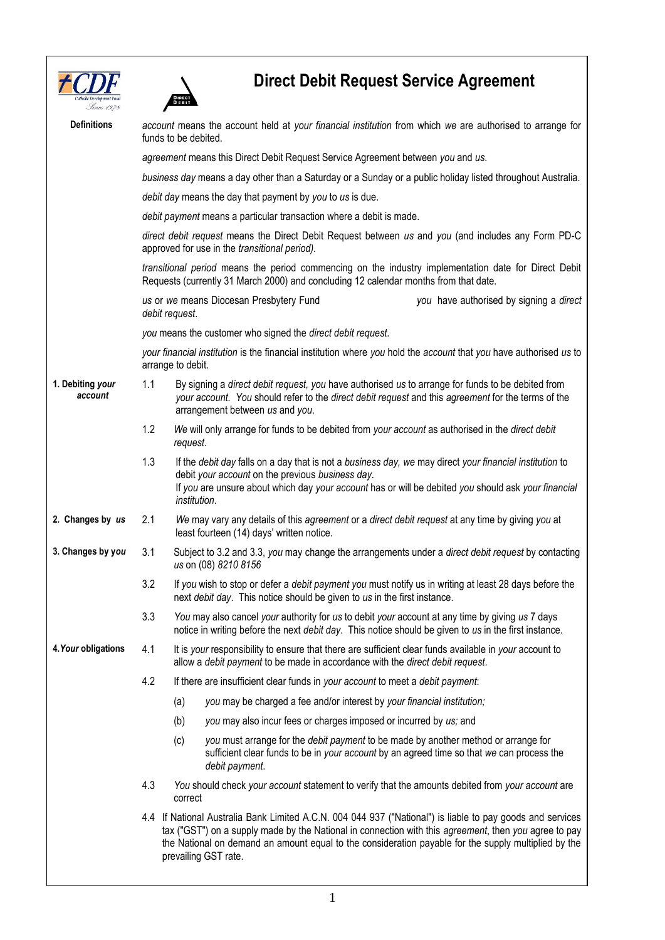